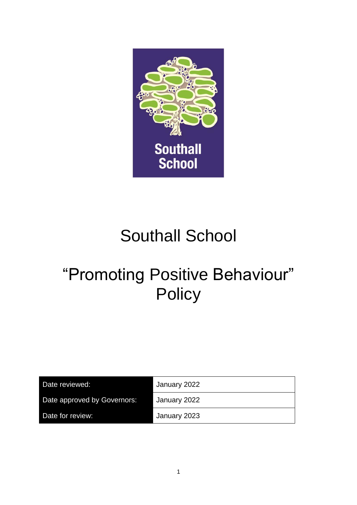

# Southall School

# "Promoting Positive Behaviour" **Policy**

| Date reviewed:              | January 2022 |
|-----------------------------|--------------|
| Date approved by Governors: | January 2022 |
| Date for review:            | January 2023 |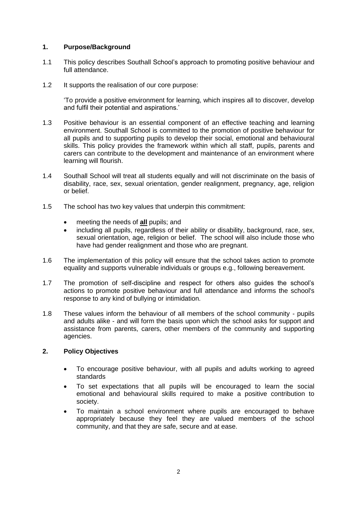# **1. Purpose/Background**

- 1.1 This policy describes Southall School's approach to promoting positive behaviour and full attendance.
- 1.2 It supports the realisation of our core purpose:

'To provide a positive environment for learning, which inspires all to discover, develop and fulfil their potential and aspirations.'

- 1.3 Positive behaviour is an essential component of an effective teaching and learning environment. Southall School is committed to the promotion of positive behaviour for all pupils and to supporting pupils to develop their social, emotional and behavioural skills. This policy provides the framework within which all staff, pupils, parents and carers can contribute to the development and maintenance of an environment where learning will flourish.
- 1.4 Southall School will treat all students equally and will not discriminate on the basis of disability, race, sex, sexual orientation, gender realignment, pregnancy, age, religion or belief.
- 1.5 The school has two key values that underpin this commitment:
	- meeting the needs of **all** pupils; and
	- including all pupils, regardless of their ability or disability, background, race, sex, sexual orientation, age, religion or belief. The school will also include those who have had gender realignment and those who are pregnant.
- 1.6 The implementation of this policy will ensure that the school takes action to promote equality and supports vulnerable individuals or groups e.g., following bereavement.
- 1.7 The promotion of self-discipline and respect for others also guides the school's actions to promote positive behaviour and full attendance and informs the school's response to any kind of bullying or intimidation.
- 1.8 These values inform the behaviour of all members of the school community pupils and adults alike - and will form the basis upon which the school asks for support and assistance from parents, carers, other members of the community and supporting agencies.

# **2. Policy Objectives**

- To encourage positive behaviour, with all pupils and adults working to agreed standards
- To set expectations that all pupils will be encouraged to learn the social emotional and behavioural skills required to make a positive contribution to society.
- To maintain a school environment where pupils are encouraged to behave appropriately because they feel they are valued members of the school community, and that they are safe, secure and at ease.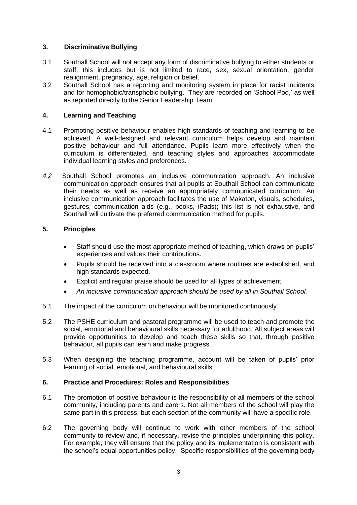# **3. Discriminative Bullying**

- 3.1 Southall School will not accept any form of discriminative bullying to either students or staff, this includes but is not limited to race, sex, sexual orientation, gender realignment, pregnancy, age, religion or belief.
- 3.2 Southall School has a reporting and monitoring system in place for racist incidents and for homophobic/transphobic bullying. They are recorded on 'School Pod,' as well as reported directly to the Senior Leadership Team.

# **4. Learning and Teaching**

- 4.1 Promoting positive behaviour enables high standards of teaching and learning to be achieved. A well-designed and relevant curriculum helps develop and maintain positive behaviour and full attendance. Pupils learn more effectively when the curriculum is differentiated, and teaching styles and approaches accommodate individual learning styles and preferences.
- *4.2* Southall School promotes an inclusive communication approach. An inclusive communication approach ensures that all pupils at Southall School can communicate their needs as well as receive an appropriately communicated curriculum. An inclusive communication approach facilitates the use of Makaton, visuals, schedules, gestures, communication aids (e.g., books, iPads); this list is not exhaustive, and Southall will cultivate the preferred communication method for pupils.

# **5. Principles**

- Staff should use the most appropriate method of teaching, which draws on pupils' experiences and values their contributions.
- Pupils should be received into a classroom where routines are established, and high standards expected.
- Explicit and regular praise should be used for all types of achievement.
- *An inclusive communication approach should be used by all in Southall School.*
- 5.1 The impact of the curriculum on behaviour will be monitored continuously.
- 5.2 The PSHE curriculum and pastoral programme will be used to teach and promote the social, emotional and behavioural skills necessary for adulthood. All subject areas will provide opportunities to develop and teach these skills so that, through positive behaviour, all pupils can learn and make progress.
- 5.3 When designing the teaching programme, account will be taken of pupils' prior learning of social, emotional, and behavioural skills.

# **6. Practice and Procedures: Roles and Responsibilities**

- 6.1 The promotion of positive behaviour is the responsibility of all members of the school community, including parents and carers. Not all members of the school will play the same part in this process, but each section of the community will have a specific role.
- 6.2 The governing body will continue to work with other members of the school community to review and, if necessary, revise the principles underpinning this policy. For example, they will ensure that the policy and its implementation is consistent with the school's equal opportunities policy. Specific responsibilities of the governing body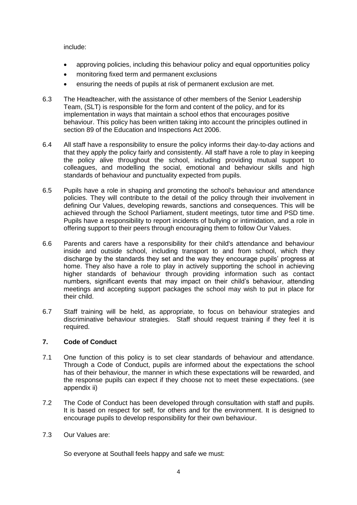include:

- approving policies, including this behaviour policy and equal opportunities policy
- monitoring fixed term and permanent exclusions
- ensuring the needs of pupils at risk of permanent exclusion are met*.*
- 6.3 The Headteacher, with the assistance of other members of the Senior Leadership Team, (SLT) is responsible for the form and content of the policy, and for its implementation in ways that maintain a school ethos that encourages positive behaviour. This policy has been written taking into account the principles outlined in section 89 of the Education and Inspections Act 2006.
- 6.4 All staff have a responsibility to ensure the policy informs their day-to-day actions and that they apply the policy fairly and consistently. All staff have a role to play in keeping the policy alive throughout the school, including providing mutual support to colleagues, and modelling the social, emotional and behaviour skills and high standards of behaviour and punctuality expected from pupils.
- 6.5 Pupils have a role in shaping and promoting the school's behaviour and attendance policies. They will contribute to the detail of the policy through their involvement in defining Our Values, developing rewards, sanctions and consequences. This will be achieved through the School Parliament, student meetings, tutor time and PSD time. Pupils have a responsibility to report incidents of bullying or intimidation, and a role in offering support to their peers through encouraging them to follow Our Values.
- 6.6 Parents and carers have a responsibility for their child's attendance and behaviour inside and outside school, including transport to and from school, which they discharge by the standards they set and the way they encourage pupils' progress at home. They also have a role to play in actively supporting the school in achieving higher standards of behaviour through providing information such as contact numbers, significant events that may impact on their child's behaviour, attending meetings and accepting support packages the school may wish to put in place for their child.
- 6.7 Staff training will be held, as appropriate, to focus on behaviour strategies and discriminative behaviour strategies. Staff should request training if they feel it is required.

# **7. Code of Conduct**

- 7.1 One function of this policy is to set clear standards of behaviour and attendance. Through a Code of Conduct, pupils are informed about the expectations the school has of their behaviour, the manner in which these expectations will be rewarded, and the response pupils can expect if they choose not to meet these expectations. (see appendix ii)
- 7.2 The Code of Conduct has been developed through consultation with staff and pupils. It is based on respect for self, for others and for the environment. It is designed to encourage pupils to develop responsibility for their own behaviour.
- 7.3 Our Values are:

So everyone at Southall feels happy and safe we must: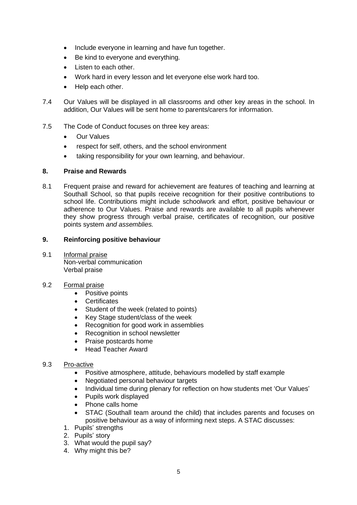- Include everyone in learning and have fun together.
- Be kind to everyone and everything.
- Listen to each other.
- Work hard in every lesson and let everyone else work hard too.
- Help each other.
- 7.4 Our Values will be displayed in all classrooms and other key areas in the school. In addition, Our Values will be sent home to parents/carers for information.
- 7.5 The Code of Conduct focuses on three key areas:
	- Our Values
	- respect for self, others, and the school environment
	- taking responsibility for your own learning, and behaviour.

# **8. Praise and Rewards**

8.1 Frequent praise and reward for achievement are features of teaching and learning at Southall School, so that pupils receive recognition for their positive contributions to school life. Contributions might include schoolwork and effort, positive behaviour or adherence to Our Values. Praise and rewards are available to all pupils whenever they show progress through verbal praise, certificates of recognition, our positive points system *and assemblies.*

# **9. Reinforcing positive behaviour**

9.1 Informal praise Non-verbal communication Verbal praise

# 9.2 Formal praise

- Positive points
	- Certificates
	- Student of the week (related to points)
	- Key Stage student/class of the week
	- Recognition for good work in assemblies
	- Recognition in school newsletter
	- Praise postcards home
	- Head Teacher Award

# 9.3 Pro-active

- Positive atmosphere, attitude, behaviours modelled by staff example
- Negotiated personal behaviour targets
- Individual time during plenary for reflection on how students met 'Our Values'
- Pupils work displayed
- Phone calls home
- STAC (Southall team around the child) that includes parents and focuses on positive behaviour as a way of informing next steps. A STAC discusses:
- 1. Pupils' strengths
- 2. Pupils' story
- 3. What would the pupil say?
- 4. Why might this be?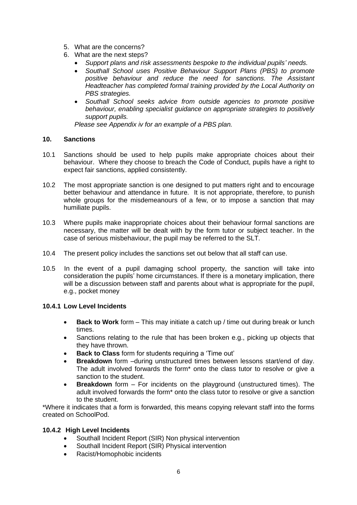- 5. What are the concerns?
- 6. What are the next steps?
	- *Support plans and risk assessments bespoke to the individual pupils' needs.*
	- *Southall School uses Positive Behaviour Support Plans (PBS) to promote positive behaviour and reduce the need for sanctions. The Assistant Headteacher has completed formal training provided by the Local Authority on PBS strategies.*
	- *Southall School seeks advice from outside agencies to promote positive behaviour, enabling specialist guidance on appropriate strategies to positively support pupils.*

*Please see Appendix iv for an example of a PBS plan.*

# **10. Sanctions**

- 10.1 Sanctions should be used to help pupils make appropriate choices about their behaviour. Where they choose to breach the Code of Conduct, pupils have a right to expect fair sanctions, applied consistently.
- 10.2 The most appropriate sanction is one designed to put matters right and to encourage better behaviour and attendance in future. It is not appropriate, therefore, to punish whole groups for the misdemeanours of a few, or to impose a sanction that may humiliate pupils.
- 10.3 Where pupils make inappropriate choices about their behaviour formal sanctions are necessary, the matter will be dealt with by the form tutor or subject teacher. In the case of serious misbehaviour, the pupil may be referred to the SLT.
- 10.4 The present policy includes the sanctions set out below that all staff can use.
- 10.5 In the event of a pupil damaging school property, the sanction will take into consideration the pupils' home circumstances. If there is a monetary implication, there will be a discussion between staff and parents about what is appropriate for the pupil, e.g., pocket money

# **10.4.1 Low Level Incidents**

- **Back to Work** form This may initiate a catch up / time out during break or lunch times.
- Sanctions relating to the rule that has been broken e.g., picking up objects that they have thrown.
- **Back to Class** form for students requiring a 'Time out'
- **Breakdown** form –during unstructured times between lessons start/end of day. The adult involved forwards the form\* onto the class tutor to resolve or give a sanction to the student.
- **Breakdown** form For incidents on the playground (unstructured times). The adult involved forwards the form\* onto the class tutor to resolve or give a sanction to the student.

\*Where it indicates that a form is forwarded, this means copying relevant staff into the forms created on SchoolPod.

# **10.4.2 High Level Incidents**

- Southall Incident Report (SIR) Non physical intervention
- Southall Incident Report (SIR) Physical intervention
- Racist/Homophobic incidents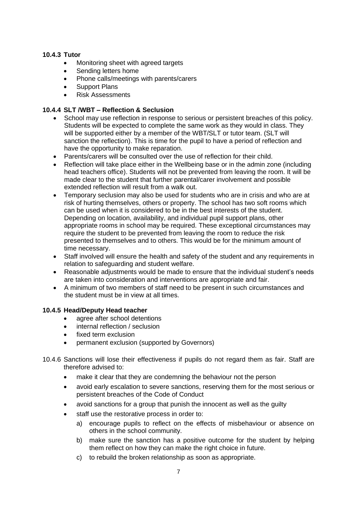# **10.4.3 Tutor**

- Monitoring sheet with agreed targets
- Sending letters home
- Phone calls/meetings with parents/carers
- Support Plans
- Risk Assessments

# **10.4.4 SLT /WBT – Reflection & Seclusion**

- School may use reflection in response to serious or persistent breaches of this policy. Students will be expected to complete the same work as they would in class. They will be supported either by a member of the WBT/SLT or tutor team. (SLT will sanction the reflection). This is time for the pupil to have a period of reflection and have the opportunity to make reparation.
- Parents/carers will be consulted over the use of reflection for their child.
- Reflection will take place either in the Wellbeing base or in the admin zone (including head teachers office). Students will not be prevented from leaving the room. It will be made clear to the student that further parental/carer involvement and possible extended reflection will result from a walk out.
- Temporary seclusion may also be used for students who are in crisis and who are at risk of hurting themselves, others or property. The school has two soft rooms which can be used when it is considered to be in the best interests of the student. Depending on location, availability, and individual pupil support plans, other appropriate rooms in school may be required. These exceptional circumstances may require the student to be prevented from leaving the room to reduce the risk presented to themselves and to others. This would be for the minimum amount of time necessary.
- Staff involved will ensure the health and safety of the student and any requirements in relation to safeguarding and student welfare.
- Reasonable adjustments would be made to ensure that the individual student's needs are taken into consideration and interventions are appropriate and fair.
- A minimum of two members of staff need to be present in such circumstances and the student must be in view at all times.

# **10.4.5 Head/Deputy Head teacher**

- agree after school detentions
- internal reflection / seclusion
- fixed term exclusion
- permanent exclusion (supported by Governors)
- 10.4.6 Sanctions will lose their effectiveness if pupils do not regard them as fair. Staff are therefore advised to:
	- make it clear that they are condemning the behaviour not the person
	- avoid early escalation to severe sanctions, reserving them for the most serious or persistent breaches of the Code of Conduct
	- avoid sanctions for a group that punish the innocent as well as the guilty
	- staff use the restorative process in order to:
		- a) encourage pupils to reflect on the effects of misbehaviour or absence on others in the school community.
		- b) make sure the sanction has a positive outcome for the student by helping them reflect on how they can make the right choice in future.
		- c) to rebuild the broken relationship as soon as appropriate.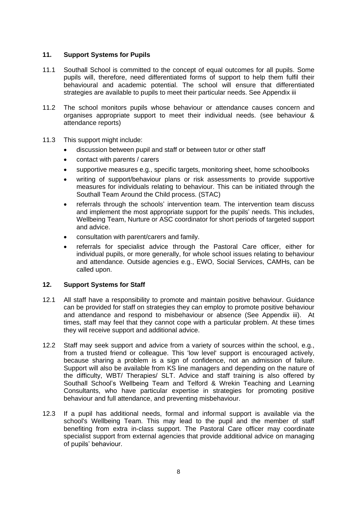# **11. Support Systems for Pupils**

- 11.1 Southall School is committed to the concept of equal outcomes for all pupils. Some pupils will, therefore, need differentiated forms of support to help them fulfil their behavioural and academic potential. The school will ensure that differentiated strategies are available to pupils to meet their particular needs. See Appendix iii
- 11.2 The school monitors pupils whose behaviour or attendance causes concern and organises appropriate support to meet their individual needs. (see behaviour & attendance reports)
- 11.3 This support might include:
	- discussion between pupil and staff or between tutor or other staff
	- contact with parents / carers
	- supportive measures e.g., specific targets, monitoring sheet, home schoolbooks
	- writing of support/behaviour plans or risk assessments to provide supportive measures for individuals relating to behaviour. This can be initiated through the Southall Team Around the Child process. (STAC)
	- referrals through the schools' intervention team. The intervention team discuss and implement the most appropriate support for the pupils' needs. This includes, Wellbeing Team, Nurture or ASC coordinator for short periods of targeted support and advice.
	- consultation with parent/carers and family.
	- referrals for specialist advice through the Pastoral Care officer, either for individual pupils, or more generally, for whole school issues relating to behaviour and attendance. Outside agencies e.g., EWO, Social Services, CAMHs, can be called upon.

#### **12. Support Systems for Staff**

- 12.1 All staff have a responsibility to promote and maintain positive behaviour. Guidance can be provided for staff on strategies they can employ to promote positive behaviour and attendance and respond to misbehaviour or absence (See Appendix iii). At times, staff may feel that they cannot cope with a particular problem. At these times they will receive support and additional advice.
- 12.2 Staff may seek support and advice from a variety of sources within the school, e.g., from a trusted friend or colleague. This 'low level' support is encouraged actively, because sharing a problem is a sign of confidence, not an admission of failure. Support will also be available from KS line managers and depending on the nature of the difficulty, WBT/ Therapies/ SLT. Advice and staff training is also offered by Southall School's Wellbeing Team and Telford & Wrekin Teaching and Learning Consultants, who have particular expertise in strategies for promoting positive behaviour and full attendance, and preventing misbehaviour.
- 12.3 If a pupil has additional needs, formal and informal support is available via the school's Wellbeing Team. This may lead to the pupil and the member of staff benefiting from extra in-class support. The Pastoral Care officer may coordinate specialist support from external agencies that provide additional advice on managing of pupils' behaviour.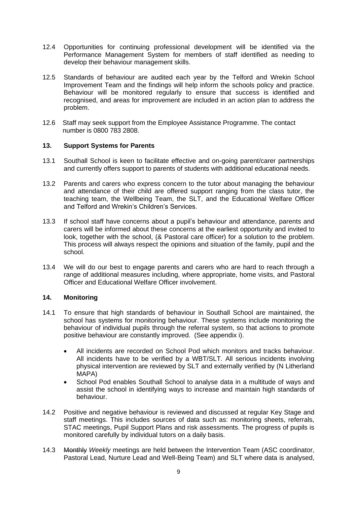- 12.4 Opportunities for continuing professional development will be identified via the Performance Management System for members of staff identified as needing to develop their behaviour management skills.
- 12.5 Standards of behaviour are audited each year by the Telford and Wrekin School Improvement Team and the findings will help inform the schools policy and practice. Behaviour will be monitored regularly to ensure that success is identified and recognised, and areas for improvement are included in an action plan to address the problem.
- 12.6 Staff may seek support from the Employee Assistance Programme. The contact number is 0800 783 2808.

# **13. Support Systems for Parents**

- 13.1 Southall School is keen to facilitate effective and on-going parent/carer partnerships and currently offers support to parents of students with additional educational needs.
- 13.2 Parents and carers who express concern to the tutor about managing the behaviour and attendance of their child are offered support ranging from the class tutor, the teaching team, the Wellbeing Team, the SLT, and the Educational Welfare Officer and Telford and Wrekin's Children's Services.
- 13.3 If school staff have concerns about a pupil's behaviour and attendance, parents and carers will be informed about these concerns at the earliest opportunity and invited to look, together with the school, (& Pastoral care officer) for a solution to the problem. This process will always respect the opinions and situation of the family, pupil and the school.
- 13.4 We will do our best to engage parents and carers who are hard to reach through a range of additional measures including, where appropriate, home visits, and Pastoral Officer and Educational Welfare Officer involvement.

# **14. Monitoring**

- 14.1 To ensure that high standards of behaviour in Southall School are maintained, the school has systems for monitoring behaviour. These systems include monitoring the behaviour of individual pupils through the referral system, so that actions to promote positive behaviour are constantly improved. (See appendix i).
	- All incidents are recorded on School Pod which monitors and tracks behaviour. All incidents have to be verified by a WBT/SLT. All serious incidents involving physical intervention are reviewed by SLT and externally verified by (N Litherland MAPA)
	- School Pod enables Southall School to analyse data in a multitude of ways and assist the school in identifying ways to increase and maintain high standards of behaviour.
- 14.2 Positive and negative behaviour is reviewed and discussed at regular Key Stage and staff meetings. This includes sources of data such as: monitoring sheets, referrals, STAC meetings, Pupil Support Plans and risk assessments. The progress of pupils is monitored carefully by individual tutors on a daily basis.
- 14.3 Monthly *Weekly* meetings are held between the Intervention Team (ASC coordinator, Pastoral Lead, Nurture Lead and Well-Being Team) and SLT where data is analysed,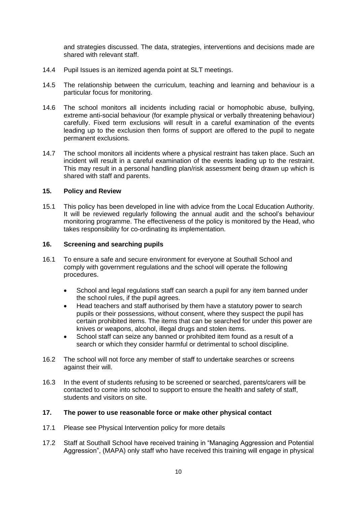and strategies discussed. The data, strategies, interventions and decisions made are shared with relevant staff.

- 14.4 Pupil Issues is an itemized agenda point at SLT meetings.
- 14.5 The relationship between the curriculum, teaching and learning and behaviour is a particular focus for monitoring.
- 14.6 The school monitors all incidents including racial or homophobic abuse, bullying, extreme anti-social behaviour (for example physical or verbally threatening behaviour) carefully. Fixed term exclusions will result in a careful examination of the events leading up to the exclusion then forms of support are offered to the pupil to negate permanent exclusions.
- 14.7 The school monitors all incidents where a physical restraint has taken place. Such an incident will result in a careful examination of the events leading up to the restraint. This may result in a personal handling plan/risk assessment being drawn up which is shared with staff and parents.

# **15. Policy and Review**

15.1 This policy has been developed in line with advice from the Local Education Authority. It will be reviewed regularly following the annual audit and the school's behaviour monitoring programme. The effectiveness of the policy is monitored by the Head, who takes responsibility for co-ordinating its implementation.

#### **16. Screening and searching pupils**

- 16.1 To ensure a safe and secure environment for everyone at Southall School and comply with government regulations and the school will operate the following procedures.
	- School and legal regulations staff can search a pupil for any item banned under the school rules, if the pupil agrees.
	- Head teachers and staff authorised by them have a statutory power to search pupils or their possessions, without consent, where they suspect the pupil has certain prohibited items. The items that can be searched for under this power are knives or weapons, alcohol, illegal drugs and stolen items.
	- School staff can seize any banned or prohibited item found as a result of a search or which they consider harmful or detrimental to school discipline.
- 16.2 The school will not force any member of staff to undertake searches or screens against their will.
- 16.3 In the event of students refusing to be screened or searched, parents/carers will be contacted to come into school to support to ensure the health and safety of staff, students and visitors on site.

#### **17. The power to use reasonable force or make other physical contact**

- 17.1 Please see Physical Intervention policy for more details
- 17.2 Staff at Southall School have received training in "Managing Aggression and Potential Aggression", (MAPA) only staff who have received this training will engage in physical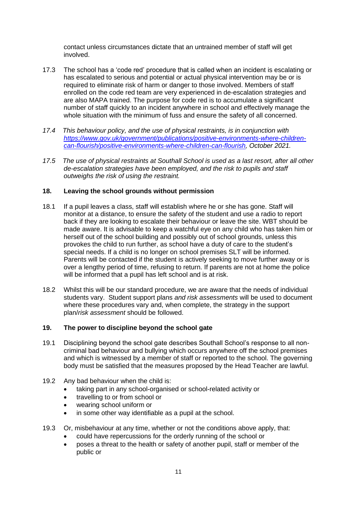contact unless circumstances dictate that an untrained member of staff will get involved.

- 17.3 The school has a 'code red' procedure that is called when an incident is escalating or has escalated to serious and potential or actual physical intervention may be or is required to eliminate risk of harm or danger to those involved. Members of staff enrolled on the code red team are very experienced in de-escalation strategies and are also MAPA trained. The purpose for code red is to accumulate a significant number of staff quickly to an incident anywhere in school and effectively manage the whole situation with the minimum of fuss and ensure the safety of all concerned.
- *17.4 This behaviour policy, and the use of physical restraints, is in conjunction with [https://www.gov.uk/government/publications/positive-environments-where-children](https://www.gov.uk/government/publications/positive-environments-where-children-can-flourish/positive-environments-where-children-can-flourish)[can-flourish/positive-environments-where-children-can-flourish,](https://www.gov.uk/government/publications/positive-environments-where-children-can-flourish/positive-environments-where-children-can-flourish) October 2021.*
- *17.5 The use of physical restraints at Southall School is used as a last resort, after all other de-escalation strategies have been employed, and the risk to pupils and staff outweighs the risk of using the restraint.*

# **18. Leaving the school grounds without permission**

- 18.1 If a pupil leaves a class, staff will establish where he or she has gone. Staff will monitor at a distance, to ensure the safety of the student and use a radio to report back if they are looking to escalate their behaviour or leave the site. WBT should be made aware. It is advisable to keep a watchful eye on any child who has taken him or herself out of the school building and possibly out of school grounds, unless this provokes the child to run further, as school have a duty of care to the student's special needs. If a child is no longer on school premises SLT will be informed. Parents will be contacted if the student is actively seeking to move further away or is over a lengthy period of time, refusing to return. If parents are not at home the police will be informed that a pupil has left school and is at risk.
- 18.2 Whilst this will be our standard procedure, we are aware that the needs of individual students vary. Student support plans *and risk assessments* will be used to document where these procedures vary and, when complete, the strategy in the support plan/*risk assessment* should be followed.

# **19. The power to discipline beyond the school gate**

- 19.1 Disciplining beyond the school gate describes Southall School's response to all noncriminal bad behaviour and bullying which occurs anywhere off the school premises and which is witnessed by a member of staff or reported to the school. The governing body must be satisfied that the measures proposed by the Head Teacher are lawful.
- 19.2 Any bad behaviour when the child is:
	- taking part in any school-organised or school-related activity or
	- travelling to or from school or
	- wearing school uniform or
	- in some other way identifiable as a pupil at the school.
- 19.3 Or, misbehaviour at any time, whether or not the conditions above apply, that:
	- could have repercussions for the orderly running of the school or
	- poses a threat to the health or safety of another pupil, staff or member of the public or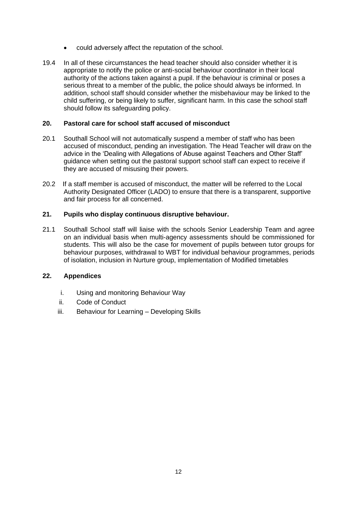- could adversely affect the reputation of the school.
- 19.4 In all of these circumstances the head teacher should also consider whether it is appropriate to notify the police or anti-social behaviour coordinator in their local authority of the actions taken against a pupil. If the behaviour is criminal or poses a serious threat to a member of the public, the police should always be informed. In addition, school staff should consider whether the misbehaviour may be linked to the child suffering, or being likely to suffer, significant harm. In this case the school staff should follow its safeguarding policy.

# **20. Pastoral care for school staff accused of misconduct**

- 20.1 Southall School will not automatically suspend a member of staff who has been accused of misconduct, pending an investigation. The Head Teacher will draw on the advice in the 'Dealing with Allegations of Abuse against Teachers and Other Staff' guidance when setting out the pastoral support school staff can expect to receive if they are accused of misusing their powers.
- 20.2 If a staff member is accused of misconduct, the matter will be referred to the Local Authority Designated Officer (LADO) to ensure that there is a transparent, supportive and fair process for all concerned.

# **21. Pupils who display continuous disruptive behaviour.**

21.1 Southall School staff will liaise with the schools Senior Leadership Team and agree on an individual basis when multi-agency assessments should be commissioned for students. This will also be the case for movement of pupils between tutor groups for behaviour purposes, withdrawal to WBT for individual behaviour programmes, periods of isolation, inclusion in Nurture group, implementation of Modified timetables

# **22. Appendices**

- i. Using and monitoring Behaviour Way
- ii. Code of Conduct
- iii. Behaviour for Learning Developing Skills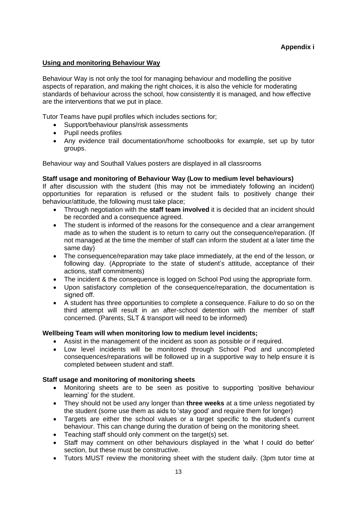### **Using and monitoring Behaviour Way**

Behaviour Way is not only the tool for managing behaviour and modelling the positive aspects of reparation, and making the right choices, it is also the vehicle for moderating standards of behaviour across the school, how consistently it is managed, and how effective are the interventions that we put in place.

Tutor Teams have pupil profiles which includes sections for;

- Support/behaviour plans/risk assessments
- Pupil needs profiles
- Any evidence trail documentation/home schoolbooks for example, set up by tutor groups.

Behaviour way and Southall Values posters are displayed in all classrooms

#### **Staff usage and monitoring of Behaviour Way (Low to medium level behaviours)**

If after discussion with the student (this may not be immediately following an incident) opportunities for reparation is refused or the student fails to positively change their behaviour/attitude, the following must take place;

- Through negotiation with the **staff team involved** it is decided that an incident should be recorded and a consequence agreed.
- The student is informed of the reasons for the consequence and a clear arrangement made as to when the student is to return to carry out the consequence/reparation. (If not managed at the time the member of staff can inform the student at a later time the same day)
- The consequence/reparation may take place immediately, at the end of the lesson, or following day. (Appropriate to the state of student's attitude, acceptance of their actions, staff commitments)
- The incident & the consequence is logged on School Pod using the appropriate form.
- Upon satisfactory completion of the consequence/reparation, the documentation is signed off.
- A student has three opportunities to complete a consequence. Failure to do so on the third attempt will result in an after-school detention with the member of staff concerned. (Parents, SLT & transport will need to be informed)

#### **Wellbeing Team will when monitoring low to medium level incidents;**

- Assist in the management of the incident as soon as possible or if required.
- Low level incidents will be monitored through School Pod and uncompleted consequences/reparations will be followed up in a supportive way to help ensure it is completed between student and staff.

#### **Staff usage and monitoring of monitoring sheets**

- Monitoring sheets are to be seen as positive to supporting 'positive behaviour learning' for the student.
- They should not be used any longer than **three weeks** at a time unless negotiated by the student (some use them as aids to 'stay good' and require them for longer)
- Targets are either the school values or a target specific to the student's current behaviour. This can change during the duration of being on the monitoring sheet.
- Teaching staff should only comment on the target(s) set.
- Staff may comment on other behaviours displayed in the 'what I could do better' section, but these must be constructive.
- Tutors MUST review the monitoring sheet with the student daily. (3pm tutor time at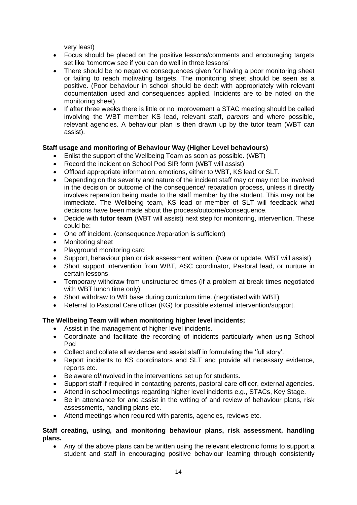very least)

- Focus should be placed on the positive lessons/comments and encouraging targets set like 'tomorrow see if you can do well in three lessons'
- There should be no negative consequences given for having a poor monitoring sheet or failing to reach motivating targets. The monitoring sheet should be seen as a positive. (Poor behaviour in school should be dealt with appropriately with relevant documentation used and consequences applied. Incidents are to be noted on the monitoring sheet)
- If after three weeks there is little or no improvement a STAC meeting should be called involving the WBT member KS lead, relevant staff, *parents* and where possible, relevant agencies. A behaviour plan is then drawn up by the tutor team (WBT can assist).

# **Staff usage and monitoring of Behaviour Way (Higher Level behaviours)**

- Enlist the support of the Wellbeing Team as soon as possible. (WBT)
- Record the incident on School Pod SIR form (WBT will assist)
- Offload appropriate information, emotions, either to WBT, KS lead or SLT.
- Depending on the severity and nature of the incident staff may or may not be involved in the decision or outcome of the consequence/ reparation process, unless it directly involves reparation being made to the staff member by the student. This may not be immediate. The Wellbeing team, KS lead or member of SLT will feedback what decisions have been made about the process/outcome/consequence.
- Decide with **tutor team** (WBT will assist) next step for monitoring, intervention. These could be:
- One off incident. (consequence /reparation is sufficient)
- Monitoring sheet
- Playground monitoring card
- Support, behaviour plan or risk assessment written. (New or update. WBT will assist)
- Short support intervention from WBT, ASC coordinator, Pastoral lead, or nurture in certain lessons.
- Temporary withdraw from unstructured times (if a problem at break times negotiated with WBT lunch time only)
- Short withdraw to WB base during curriculum time. (negotiated with WBT)
- Referral to Pastoral Care officer (KG) for possible external intervention/support.

# **The Wellbeing Team will when monitoring higher level incidents;**

- Assist in the management of higher level incidents.
- Coordinate and facilitate the recording of incidents particularly when using School Pod
- Collect and collate all evidence and assist staff in formulating the 'full story'.
- Report incidents to KS coordinators and SLT and provide all necessary evidence, reports etc.
- Be aware of/involved in the interventions set up for students.
- Support staff if required in contacting parents, pastoral care officer, external agencies.
- Attend in school meetings regarding higher level incidents e.g., STACs, Key Stage.
- Be in attendance for and assist in the writing of and review of behaviour plans, risk assessments, handling plans etc.
- Attend meetings when required with parents, agencies, reviews etc.

#### **Staff creating, using, and monitoring behaviour plans, risk assessment, handling plans.**

• Any of the above plans can be written using the relevant electronic forms to support a student and staff in encouraging positive behaviour learning through consistently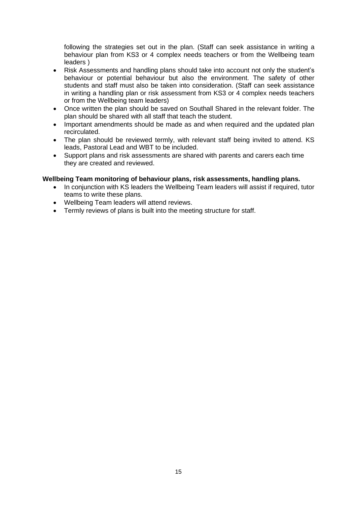following the strategies set out in the plan. (Staff can seek assistance in writing a behaviour plan from KS3 or 4 complex needs teachers or from the Wellbeing team leaders )

- Risk Assessments and handling plans should take into account not only the student's behaviour or potential behaviour but also the environment. The safety of other students and staff must also be taken into consideration. (Staff can seek assistance in writing a handling plan or risk assessment from KS3 or 4 complex needs teachers or from the Wellbeing team leaders)
- Once written the plan should be saved on Southall Shared in the relevant folder. The plan should be shared with all staff that teach the student.
- Important amendments should be made as and when required and the updated plan recirculated.
- The plan should be reviewed termly, with relevant staff being invited to attend. KS leads, Pastoral Lead and WBT to be included.
- Support plans and risk assessments are shared with parents and carers each time they are created and reviewed.

# **Wellbeing Team monitoring of behaviour plans, risk assessments, handling plans.**

- In conjunction with KS leaders the Wellbeing Team leaders will assist if required, tutor teams to write these plans.
- Wellbeing Team leaders will attend reviews.
- Termly reviews of plans is built into the meeting structure for staff.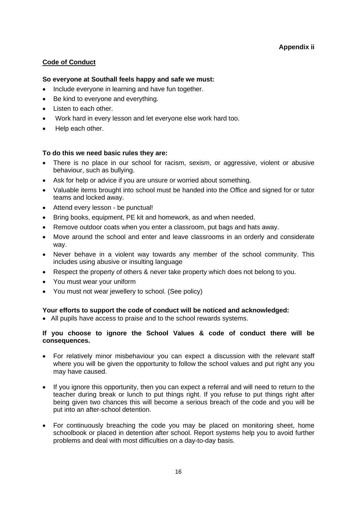# **Code of Conduct**

# **So everyone at Southall feels happy and safe we must:**

- Include everyone in learning and have fun together.
- Be kind to everyone and everything.
- Listen to each other.
- Work hard in every lesson and let everyone else work hard too.
- Help each other.

# **To do this we need basic rules they are:**

- There is no place in our school for racism, sexism, or aggressive, violent or abusive behaviour, such as bullying.
- Ask for help or advice if you are unsure or worried about something.
- Valuable items brought into school must be handed into the Office and signed for or tutor teams and locked away.
- Attend every lesson be punctual!
- Bring books, equipment, PE kit and homework, as and when needed.
- Remove outdoor coats when you enter a classroom, put bags and hats away.
- Move around the school and enter and leave classrooms in an orderly and considerate way.
- Never behave in a violent way towards any member of the school community. This includes using abusive or insulting language
- Respect the property of others & never take property which does not belong to you.
- You must wear your uniform
- You must not wear jewellery to school. (See policy)

# **Your efforts to support the code of conduct will be noticed and acknowledged:**

• All pupils have access to praise and to the school rewards systems.

# **If you choose to ignore the School Values & code of conduct there will be consequences.**

- For relatively minor misbehaviour you can expect a discussion with the relevant staff where you will be given the opportunity to follow the school values and put right any you may have caused.
- If you ignore this opportunity, then you can expect a referral and will need to return to the teacher during break or lunch to put things right. If you refuse to put things right after being given two chances this will become a serious breach of the code and you will be put into an after-school detention.
- For continuously breaching the code you may be placed on monitoring sheet, home schoolbook or placed in detention after school. Report systems help you to avoid further problems and deal with most difficulties on a day-to-day basis.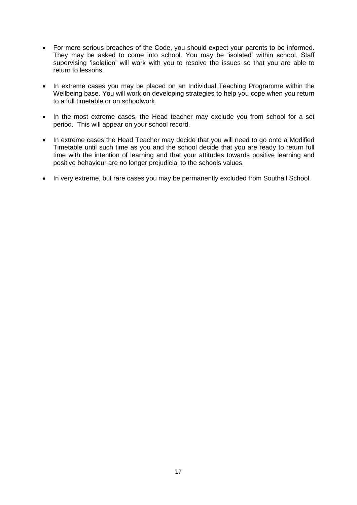- For more serious breaches of the Code, you should expect your parents to be informed. They may be asked to come into school. You may be 'isolated' within school. Staff supervising 'isolation' will work with you to resolve the issues so that you are able to return to lessons.
- In extreme cases you may be placed on an Individual Teaching Programme within the Wellbeing base. You will work on developing strategies to help you cope when you return to a full timetable or on schoolwork.
- In the most extreme cases, the Head teacher may exclude you from school for a set period. This will appear on your school record.
- In extreme cases the Head Teacher may decide that you will need to go onto a Modified Timetable until such time as you and the school decide that you are ready to return full time with the intention of learning and that your attitudes towards positive learning and positive behaviour are no longer prejudicial to the schools values.
- In very extreme, but rare cases you may be permanently excluded from Southall School.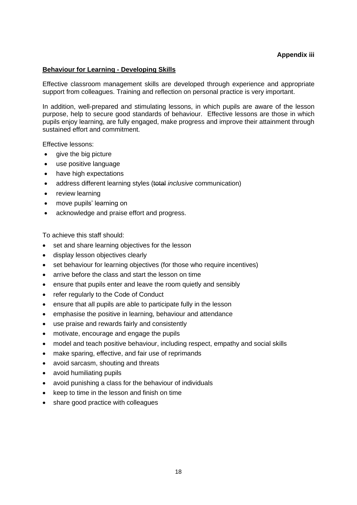### **Behaviour for Learning - Developing Skills**

Effective classroom management skills are developed through experience and appropriate support from colleagues. Training and reflection on personal practice is very important.

In addition, well-prepared and stimulating lessons, in which pupils are aware of the lesson purpose, help to secure good standards of behaviour. Effective lessons are those in which pupils enjoy learning, are fully engaged, make progress and improve their attainment through sustained effort and commitment.

Effective lessons:

- give the big picture
- use positive language
- have high expectations
- address different learning styles (total *inclusive* communication)
- review learning
- move pupils' learning on
- acknowledge and praise effort and progress.

To achieve this staff should:

- set and share learning objectives for the lesson
- display lesson objectives clearly
- set behaviour for learning objectives (for those who require incentives)
- arrive before the class and start the lesson on time
- ensure that pupils enter and leave the room quietly and sensibly
- refer regularly to the Code of Conduct
- ensure that all pupils are able to participate fully in the lesson
- emphasise the positive in learning, behaviour and attendance
- use praise and rewards fairly and consistently
- motivate, encourage and engage the pupils
- model and teach positive behaviour, including respect, empathy and social skills
- make sparing, effective, and fair use of reprimands
- avoid sarcasm, shouting and threats
- avoid humiliating pupils
- avoid punishing a class for the behaviour of individuals
- keep to time in the lesson and finish on time
- share good practice with colleagues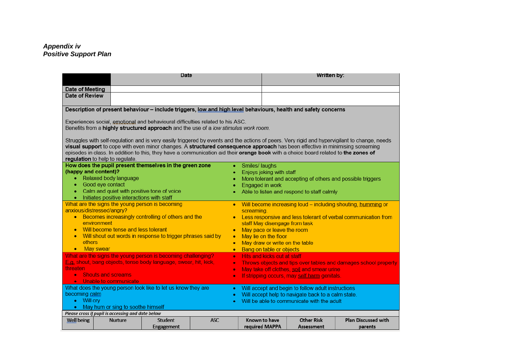#### *Appendix iv Positive Support Plan*

|                                                                                                                                                                                                                                                                                                                                                                                                                                                         | Date       |                                                                  |                                    | Written by:                                |                                                                 |  |
|---------------------------------------------------------------------------------------------------------------------------------------------------------------------------------------------------------------------------------------------------------------------------------------------------------------------------------------------------------------------------------------------------------------------------------------------------------|------------|------------------------------------------------------------------|------------------------------------|--------------------------------------------|-----------------------------------------------------------------|--|
| Date of Meeting                                                                                                                                                                                                                                                                                                                                                                                                                                         |            |                                                                  |                                    |                                            |                                                                 |  |
| Date of Review                                                                                                                                                                                                                                                                                                                                                                                                                                          |            |                                                                  |                                    |                                            |                                                                 |  |
| Description of present behaviour - include triggers, low and high level behaviours, health and safety concerns                                                                                                                                                                                                                                                                                                                                          |            |                                                                  |                                    |                                            |                                                                 |  |
| Experiences social, emotional and behavioural difficulties related to his ASC.                                                                                                                                                                                                                                                                                                                                                                          |            |                                                                  |                                    |                                            |                                                                 |  |
| Benefits from a <b>highly structured approach</b> and the use of a low stimulus work room.                                                                                                                                                                                                                                                                                                                                                              |            |                                                                  |                                    |                                            |                                                                 |  |
| Struggles with self-regulation and is very easily triggered by events and the actions of peers. Very rigid and hypervigilant to change, needs<br>visual support to cope with even minor changes. A structured consequence approach has been effective in minimising screaming<br>episodes in class. In addition to this, they have a communication aid their orange book with a choice board related to the zones of<br>regulation to help to regulate. |            |                                                                  |                                    |                                            |                                                                 |  |
| How does the pupil present themselves in the green zone                                                                                                                                                                                                                                                                                                                                                                                                 |            | Smiles/ laughs                                                   |                                    |                                            |                                                                 |  |
| (happy and content)?                                                                                                                                                                                                                                                                                                                                                                                                                                    | ٠          |                                                                  | Enjoys joking with staff           |                                            |                                                                 |  |
| Relaxed body language<br>٠                                                                                                                                                                                                                                                                                                                                                                                                                              | ٠          | More tolerant and accepting of others and possible triggers      |                                    |                                            |                                                                 |  |
| Good eye contact<br>٠                                                                                                                                                                                                                                                                                                                                                                                                                                   | ۰          | Engaged in work                                                  |                                    |                                            |                                                                 |  |
| Calm and quiet with positive tone of voice                                                                                                                                                                                                                                                                                                                                                                                                              |            | Able to listen and respond to staff calmly                       |                                    |                                            |                                                                 |  |
| • Initiates positive interactions with staff                                                                                                                                                                                                                                                                                                                                                                                                            |            |                                                                  |                                    |                                            |                                                                 |  |
| What are the signs the young person is becoming                                                                                                                                                                                                                                                                                                                                                                                                         |            |                                                                  |                                    |                                            | • Will become increasing loud – including shouting, humming or  |  |
| anxious/distressed/angry?<br>• Becomes increasingly controlling of others and the                                                                                                                                                                                                                                                                                                                                                                       |            | screaming.                                                       |                                    |                                            |                                                                 |  |
| environment                                                                                                                                                                                                                                                                                                                                                                                                                                             |            | • Less responsive and less tolerant of verbal communication from |                                    |                                            |                                                                 |  |
| Will become tense and less tolerant                                                                                                                                                                                                                                                                                                                                                                                                                     |            | staff May disengage from task<br>May pace or leave the room      |                                    |                                            |                                                                 |  |
| Will shout out words in response to trigger phrases said by                                                                                                                                                                                                                                                                                                                                                                                             |            |                                                                  | May lie on the floor               |                                            |                                                                 |  |
| others                                                                                                                                                                                                                                                                                                                                                                                                                                                  |            |                                                                  |                                    | May draw or write on the table             |                                                                 |  |
| May swear<br>$\bullet$                                                                                                                                                                                                                                                                                                                                                                                                                                  |            |                                                                  | Bang on table or objects           |                                            |                                                                 |  |
| What are the signs the young person is becoming challenging?                                                                                                                                                                                                                                                                                                                                                                                            | $\bullet$  |                                                                  | <b>Hits and kicks out at staff</b> |                                            |                                                                 |  |
| Eq shout, bang objects, tense body language, swear, hit, kick,                                                                                                                                                                                                                                                                                                                                                                                          | $\bullet$  |                                                                  |                                    |                                            | Throws objects and tips over tables and damages school property |  |
| threaten                                                                                                                                                                                                                                                                                                                                                                                                                                                | $\bullet$  |                                                                  |                                    | May take off clothes, soil and smear urine |                                                                 |  |
| <b>Shouts and screams</b>                                                                                                                                                                                                                                                                                                                                                                                                                               | ۰          | If stripping occurs, may self harm genitals.                     |                                    |                                            |                                                                 |  |
| • Unable to communicate                                                                                                                                                                                                                                                                                                                                                                                                                                 |            |                                                                  |                                    |                                            |                                                                 |  |
| What does the young person look like to let us know they are                                                                                                                                                                                                                                                                                                                                                                                            |            | Will accept and begin to follow adult instructions               |                                    |                                            |                                                                 |  |
| becoming calm                                                                                                                                                                                                                                                                                                                                                                                                                                           |            | Will accept help to navigate back to a calm state.               |                                    |                                            |                                                                 |  |
| • Will cry                                                                                                                                                                                                                                                                                                                                                                                                                                              |            |                                                                  |                                    | Will be able to communicate with the adult |                                                                 |  |
| • May hum or sing to soothe himself                                                                                                                                                                                                                                                                                                                                                                                                                     |            |                                                                  |                                    |                                            |                                                                 |  |
| Please cross if pupil is accessing and date below                                                                                                                                                                                                                                                                                                                                                                                                       |            |                                                                  |                                    |                                            |                                                                 |  |
| <b>Well being</b><br><b>Student</b><br><b>Nurture</b>                                                                                                                                                                                                                                                                                                                                                                                                   | <b>ASC</b> |                                                                  | Known to have                      | Other Risk                                 | <b>Plan Discussed with</b>                                      |  |
| Engagement                                                                                                                                                                                                                                                                                                                                                                                                                                              |            | required MAPPA                                                   |                                    | Assessment                                 | parents                                                         |  |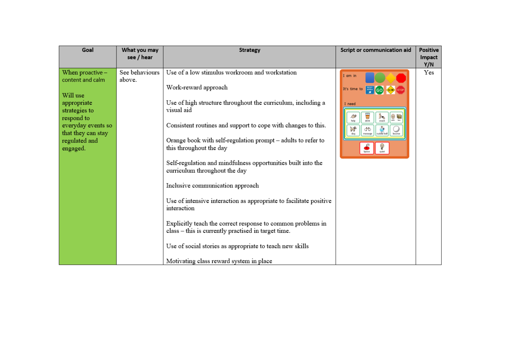| Goal                                                                                                                                                                      | What you may<br>see / hear | Strategy                                                                                                                                                                                                                                                                                                                                                                                                                                                                                                                                                                                                                                                                                                                                                                | Script or communication aid                                                                                                                                                                    | Positive<br>Impact<br>Y/N |
|---------------------------------------------------------------------------------------------------------------------------------------------------------------------------|----------------------------|-------------------------------------------------------------------------------------------------------------------------------------------------------------------------------------------------------------------------------------------------------------------------------------------------------------------------------------------------------------------------------------------------------------------------------------------------------------------------------------------------------------------------------------------------------------------------------------------------------------------------------------------------------------------------------------------------------------------------------------------------------------------------|------------------------------------------------------------------------------------------------------------------------------------------------------------------------------------------------|---------------------------|
| When proactive $-$<br>content and calm<br>Will use<br>appropriate<br>strategies to<br>respond to<br>everyday events so<br>that they can stay<br>regulated and<br>engaged. | See behaviours<br>above.   | Use of a low stimulus workroom and workstation<br>Work-reward approach<br>Use of high structure throughout the curriculum, including a<br>visual aid<br>Consistent routines and support to cope with changes to this.<br>Orange book with self-regulation prompt - adults to refer to<br>this throughout the day<br>Self-regulation and mindfulness opportunities built into the<br>curriculum throughout the day<br>Inclusive communication approach<br>Use of intensive interaction as appropriate to facilitate positive<br>interaction<br>Explicitly teach the correct response to common problems in<br>class – this is currently practised in target time.<br>Use of social stories as appropriate to teach new skills<br>Motivating class reward system in place | I am in<br>It's time to<br>GO SLOW STOP<br>I need<br>$\overline{\mathbf{U}}$<br>$\frac{3}{5}$<br>$\mathcal{L}^{\circ}$<br>්ර<br>dog<br>epoarom<br>cuddle boll<br>bounce<br>$\bigcirc$<br>Space | Yes                       |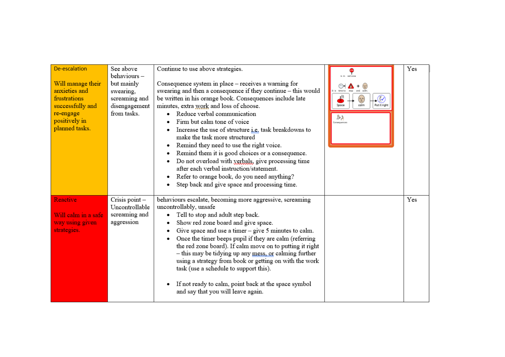| De-escalation<br>Will manage their<br>anxieties and<br>frustrations<br>successfully and<br>re-engage<br>positively in<br>planned tasks. | See above<br>behaviours-<br>but mainly<br>swearing,<br>screaming and<br>disengagement<br>from tasks. | Continue to use above strategies.<br>Consequence system in place - receives a warning for<br>swearing and then a consequence if they continue - this would<br>be written in his orange book. Consequences include late<br>minutes, extra work and loss of choose.<br>Reduce verbal communication<br>Firm but calm tone of voice<br>Increase the use of structure <i>i.e.</i> task breakdowns to<br>make the task more structured<br>Remind they need to use the right voice.<br>Remind them it is good choices or a consequence.<br>Do not overload with verbals, give processing time<br>after each verbal instruction/statement.<br>Refer to orange book, do you need anything?<br>Step back and give space and processing time. | time to<br>(န <u>္</u> မိ)<br>colm<br>Put it right<br>Space<br>202<br>Consequences | Yes |
|-----------------------------------------------------------------------------------------------------------------------------------------|------------------------------------------------------------------------------------------------------|------------------------------------------------------------------------------------------------------------------------------------------------------------------------------------------------------------------------------------------------------------------------------------------------------------------------------------------------------------------------------------------------------------------------------------------------------------------------------------------------------------------------------------------------------------------------------------------------------------------------------------------------------------------------------------------------------------------------------------|------------------------------------------------------------------------------------|-----|
| Reactive<br>Will calm in a safe<br>way using given<br>strategies.                                                                       | Crisis point-<br>Uncontrollable<br>screaming and<br>aggression                                       | behaviours escalate, becoming more aggressive, screaming<br>uncontrollably, unsafe<br>Tell to stop and adult step back.<br>Show red zone board and give space.<br>Give space and use a timer $-$ give $5$ minutes to calm.<br>Once the timer beeps pupil if they are calm (referring<br>the red zone board). If calm move on to putting it right<br>- this may be tidying up any mess, or calming further<br>using a strategy from book or getting on with the work<br>task (use a schedule to support this).<br>If not ready to calm, point back at the space symbol<br>and say that you will leave again.                                                                                                                        |                                                                                    | Yes |